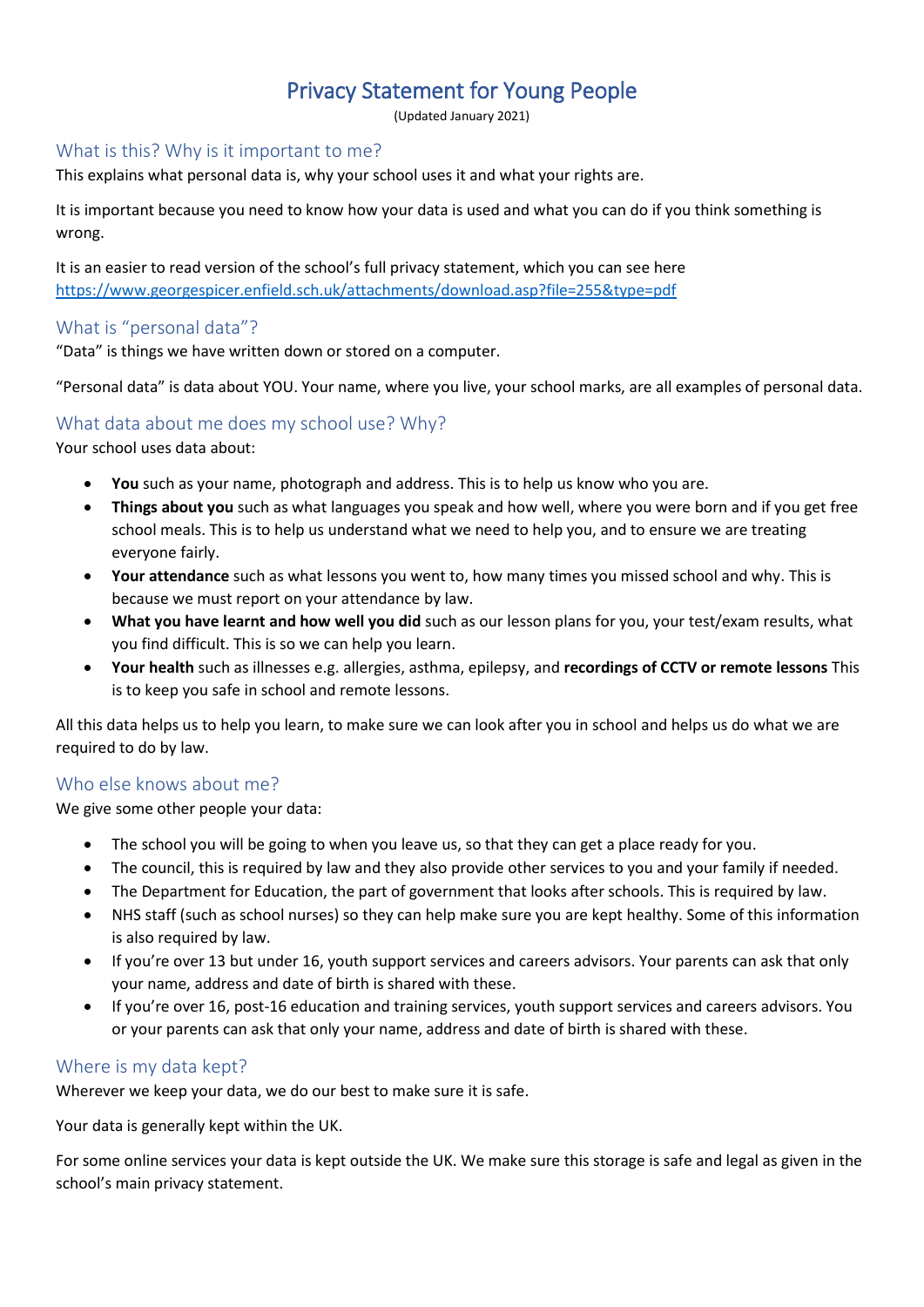# Privacy Statement for Young People

(Updated January 2021)

#### What is this? Why is it important to me?

This explains what personal data is, why your school uses it and what your rights are.

It is important because you need to know how your data is used and what you can do if you think something is wrong.

It is an easier to read version of the school's full privacy statement, which you can see here <https://www.georgespicer.enfield.sch.uk/attachments/download.asp?file=255&type=pdf>

#### What is "personal data"?

"Data" is things we have written down or stored on a computer.

"Personal data" is data about YOU. Your name, where you live, your school marks, are all examples of personal data.

## What data about me does my school use? Why?

Your school uses data about:

- **You** such as your name, photograph and address. This is to help us know who you are.
- **Things about you** such as what languages you speak and how well, where you were born and if you get free school meals. This is to help us understand what we need to help you, and to ensure we are treating everyone fairly.
- **Your attendance** such as what lessons you went to, how many times you missed school and why. This is because we must report on your attendance by law.
- **What you have learnt and how well you did** such as our lesson plans for you, your test/exam results, what you find difficult. This is so we can help you learn.
- **Your health** such as illnesses e.g. allergies, asthma, epilepsy, and **recordings of CCTV or remote lessons** This is to keep you safe in school and remote lessons.

All this data helps us to help you learn, to make sure we can look after you in school and helps us do what we are required to do by law.

#### Who else knows about me?

We give some other people your data:

- The school you will be going to when you leave us, so that they can get a place ready for you.
- The council, this is required by law and they also provide other services to you and your family if needed.
- The Department for Education, the part of government that looks after schools. This is required by law.
- NHS staff (such as school nurses) so they can help make sure you are kept healthy. Some of this information is also required by law.
- If you're over 13 but under 16, youth support services and careers advisors. Your parents can ask that only your name, address and date of birth is shared with these.
- If you're over 16, post-16 education and training services, youth support services and careers advisors. You or your parents can ask that only your name, address and date of birth is shared with these.

#### Where is my data kept?

Wherever we keep your data, we do our best to make sure it is safe.

Your data is generally kept within the UK.

For some online services your data is kept outside the UK. We make sure this storage is safe and legal as given in the school's main privacy statement.